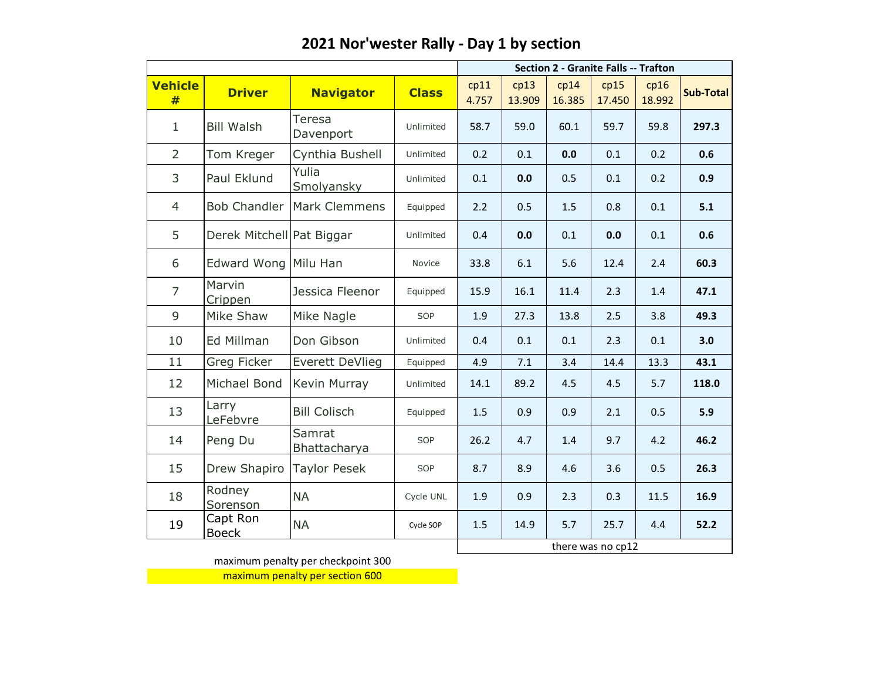|                |                           |                            |              |               | <b>Section 2 - Granite Falls -- Trafton</b> |                |                   |                |           |  |  |
|----------------|---------------------------|----------------------------|--------------|---------------|---------------------------------------------|----------------|-------------------|----------------|-----------|--|--|
| Vehicle<br>#   | <b>Driver</b>             | <b>Navigator</b>           | <b>Class</b> | cp11<br>4.757 | cp13<br>13.909                              | cp14<br>16.385 | cp15<br>17.450    | cp16<br>18.992 | Sub-Total |  |  |
| 1              | <b>Bill Walsh</b>         | Teresa<br>Davenport        | Unlimited    | 58.7          | 59.0                                        | 60.1           | 59.7              | 59.8           | 297.3     |  |  |
| $\overline{2}$ | Tom Kreger                | Cynthia Bushell            | Unlimited    | 0.2           | 0.1                                         | 0.0            | 0.1               | 0.2            | 0.6       |  |  |
| 3              | Paul Eklund               | Yulia<br><b>Smolyansky</b> | Unlimited    | 0.1           | 0.0                                         | 0.5            | 0.1               | 0.2            | 0.9       |  |  |
| $\overline{4}$ | <b>Bob Chandler</b>       | Mark Clemmens              | Equipped     | 2.2           | 0.5                                         | 1.5            | 0.8               | 0.1            | 5.1       |  |  |
| 5              | Derek Mitchell Pat Biggar |                            | Unlimited    | 0.4           | 0.0                                         | 0.1            | 0.0               | 0.1            | 0.6       |  |  |
| 6              | Edward Wong Milu Han      |                            | Novice       | 33.8          | 6.1                                         | 5.6            | 12.4              | 2.4            | 60.3      |  |  |
| $\overline{7}$ | Marvin<br>Crippen         | Jessica Fleenor            | Equipped     | 15.9          | 16.1                                        | 11.4           | 2.3               | 1.4            | 47.1      |  |  |
| $\overline{9}$ | Mike Shaw                 | Mike Nagle                 | SOP          | 1.9           | 27.3                                        | 13.8           | 2.5               | 3.8            | 49.3      |  |  |
| 10             | Ed Millman                | Don Gibson                 | Unlimited    | 0.4           | 0.1                                         | 0.1            | 2.3               | 0.1            | 3.0       |  |  |
| 11             | Greg Ficker               | Everett DeVlieg            | Equipped     | 4.9           | 7.1                                         | 3.4            | 14.4              | 13.3           | 43.1      |  |  |
| 12             | Michael Bond              | Kevin Murray               | Unlimited    | 14.1          | 89.2                                        | 4.5            | 4.5               | 5.7            | 118.0     |  |  |
| 13             | Larry<br>LeFebvre         | <b>Bill Colisch</b>        | Equipped     | 1.5           | 0.9                                         | 0.9            | 2.1               | 0.5            | 5.9       |  |  |
| 14             | Peng Du                   | Samrat<br>Bhattacharya     | SOP          | 26.2          | 4.7                                         | 1.4            | 9.7               | 4.2            | 46.2      |  |  |
| 15             | Drew Shapiro              | <b>Taylor Pesek</b>        | SOP          | 8.7           | 8.9                                         | 4.6            | 3.6               | 0.5            | 26.3      |  |  |
| 18             | Rodney<br>Sorenson        | <b>NA</b>                  | Cycle UNL    | 1.9           | 0.9                                         | 2.3            | 0.3               | 11.5           | 16.9      |  |  |
| 19             | Capt Ron<br><b>Boeck</b>  | <b>NA</b>                  | Cycle SOP    | 1.5           | 14.9                                        | 5.7            | 25.7              | 4.4            | 52.2      |  |  |
|                |                           |                            |              |               |                                             |                | there was no cp12 |                |           |  |  |

maximum penalty per checkpoint 300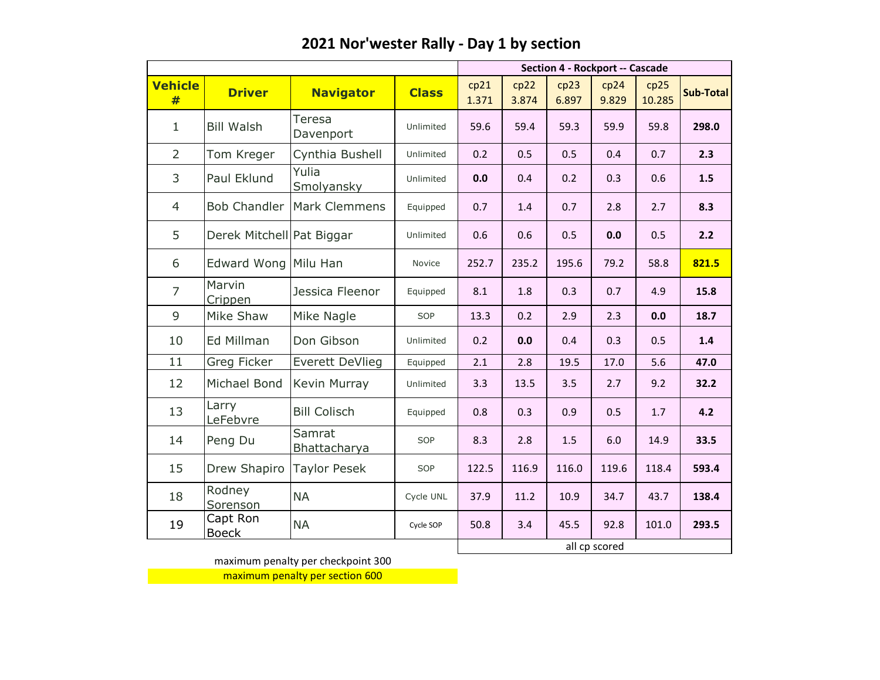|                     |                           |                               |              |               | <b>Section 4 - Rockport -- Cascade</b> |               |               |                |           |  |  |
|---------------------|---------------------------|-------------------------------|--------------|---------------|----------------------------------------|---------------|---------------|----------------|-----------|--|--|
| <b>Vehicle</b><br># | <b>Driver</b>             | <b>Navigator</b>              | <b>Class</b> | cp21<br>1.371 | cp22<br>3.874                          | cp23<br>6.897 | cp24<br>9.829 | cp25<br>10.285 | Sub-Total |  |  |
| $\mathbf{1}$        | <b>Bill Walsh</b>         | Teresa<br>Davenport           | Unlimited    | 59.6          | 59.4                                   | 59.3          | 59.9          | 59.8           | 298.0     |  |  |
| $\overline{2}$      | Tom Kreger                | Cynthia Bushell               | Unlimited    | 0.2           | 0.5                                    | 0.5           | 0.4           | 0.7            | 2.3       |  |  |
| 3                   | Paul Eklund               | Yulia<br>Smolyansky           | Unlimited    | 0.0           | 0.4                                    | 0.2           | 0.3           | 0.6            | 1.5       |  |  |
| 4                   | <b>Bob Chandler</b>       | Mark Clemmens                 | Equipped     | 0.7           | 1.4                                    | 0.7           | 2.8           | 2.7            | 8.3       |  |  |
| 5                   | Derek Mitchell Pat Biggar |                               | Unlimited    | 0.6           | 0.6                                    | 0.5           | 0.0           | 0.5            | 2.2       |  |  |
| 6                   | <b>Edward Wong</b>        | Milu Han                      | Novice       | 252.7         | 235.2                                  | 195.6         | 79.2          | 58.8           | 821.5     |  |  |
| $\overline{7}$      | Marvin<br>Crippen         | Jessica Fleenor               | Equipped     | 8.1           | 1.8                                    | 0.3           | 0.7           | 4.9            | 15.8      |  |  |
| 9                   | Mike Shaw                 | Mike Nagle                    | SOP          | 13.3          | 0.2                                    | 2.9           | 2.3           | 0.0            | 18.7      |  |  |
| 10                  | Ed Millman                | Don Gibson                    | Unlimited    | 0.2           | 0.0                                    | 0.4           | 0.3           | 0.5            | 1.4       |  |  |
| 11                  | Greg Ficker               | Everett DeVlieg               | Equipped     | 2.1           | 2.8                                    | 19.5          | 17.0          | 5.6            | 47.0      |  |  |
| 12                  | Michael Bond              | Kevin Murray                  | Unlimited    | 3.3           | 13.5                                   | 3.5           | 2.7           | 9.2            | 32.2      |  |  |
| 13                  | Larry<br>LeFebvre         | <b>Bill Colisch</b>           | Equipped     | 0.8           | 0.3                                    | 0.9           | 0.5           | 1.7            | 4.2       |  |  |
| 14                  | Peng Du                   | Samrat<br><b>Bhattacharya</b> | SOP          | 8.3           | 2.8                                    | 1.5           | 6.0           | 14.9           | 33.5      |  |  |
| 15                  | Drew Shapiro              | <b>Taylor Pesek</b>           | SOP          | 122.5         | 116.9                                  | 116.0         | 119.6         | 118.4          | 593.4     |  |  |
| 18                  | Rodney<br>Sorenson        | <b>NA</b>                     | Cycle UNL    | 37.9          | 11.2                                   | 10.9          | 34.7          | 43.7           | 138.4     |  |  |
| 19                  | Capt Ron<br><b>Boeck</b>  | <b>NA</b>                     | Cycle SOP    | 50.8          | 3.4                                    | 45.5          | 92.8          | 101.0          | 293.5     |  |  |
|                     |                           |                               |              |               |                                        |               | all cp scored |                |           |  |  |

maximum penalty per checkpoint 300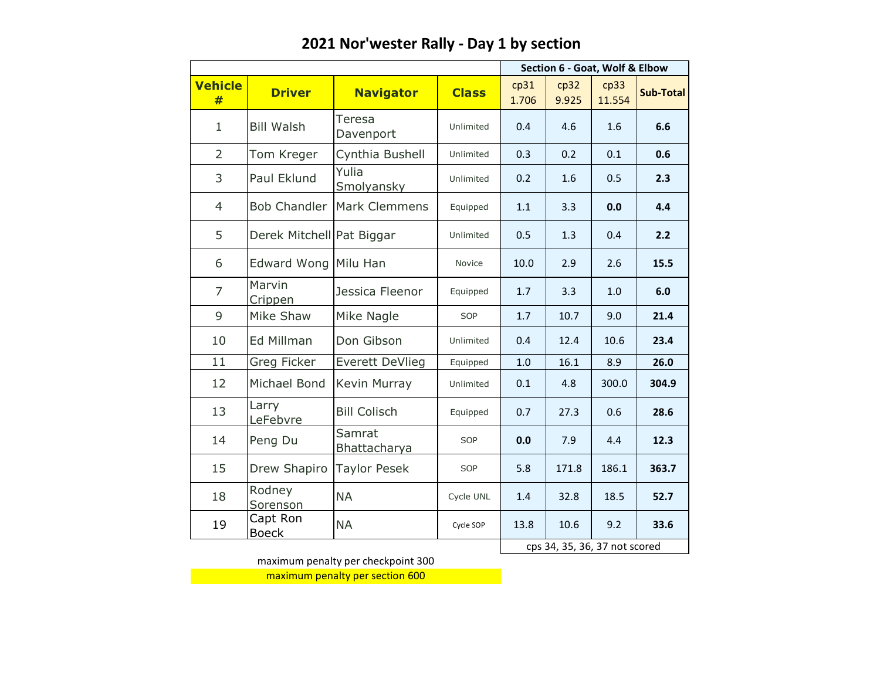|                     |                           | Section 6 - Goat, Wolf & Elbow |              |               |                               |                |                  |
|---------------------|---------------------------|--------------------------------|--------------|---------------|-------------------------------|----------------|------------------|
| <b>Vehicle</b><br># | <b>Driver</b>             | <b>Navigator</b>               | <b>Class</b> | cp31<br>1.706 | cp32<br>9.925                 | cp33<br>11.554 | <b>Sub-Total</b> |
| $\mathbf{1}$        | <b>Bill Walsh</b>         | Teresa<br>Davenport            | Unlimited    | 0.4           | 4.6                           | 1.6            | 6.6              |
| $\overline{2}$      | Tom Kreger                | Cynthia Bushell                | Unlimited    | 0.3           | 0.2                           | 0.1            | 0.6              |
| 3                   | Paul Eklund               | Yulia<br><b>Smolyansky</b>     | Unlimited    | 0.2           | 1.6                           | 0.5            | 2.3              |
| $\overline{4}$      | <b>Bob Chandler</b>       | <b>Mark Clemmens</b>           | Equipped     | 1.1           | 3.3                           | 0.0            | 4.4              |
| 5                   | Derek Mitchell Pat Biggar |                                | Unlimited    | 0.5           | 1.3                           | 0.4            | 2.2              |
| 6                   | Edward Wong Milu Han      |                                | Novice       | 10.0          | 2.9                           | 2.6            | 15.5             |
| $\overline{7}$      | Marvin<br>Crippen         | Jessica Fleenor                | Equipped     | 1.7           | 3.3                           | 1.0            | 6.0              |
| 9                   | Mike Shaw                 | Mike Nagle                     | SOP          | 1.7           | 10.7                          | 9.0            | 21.4             |
| 10                  | Ed Millman                | Don Gibson                     | Unlimited    | 0.4           | 12.4                          | 10.6           | 23.4             |
| 11                  | Greg Ficker               | <b>Everett DeVlieg</b>         | Equipped     | $1.0$         | 16.1                          | 8.9            | 26.0             |
| 12                  | Michael Bond              | Kevin Murray                   | Unlimited    | 0.1           | 4.8                           | 300.0          | 304.9            |
| 13                  | Larry<br>LeFebvre         | <b>Bill Colisch</b>            | Equipped     | 0.7           | 27.3                          | 0.6            | 28.6             |
| 14                  | Peng Du                   | Samrat<br>Bhattacharya         | SOP          | 0.0           | 7.9                           | 4.4            | 12.3             |
| 15                  | Drew Shapiro              | <b>Taylor Pesek</b>            | SOP          | 5.8           | 171.8                         | 186.1          | 363.7            |
| 18                  | Rodney<br>Sorenson        | <b>NA</b>                      | Cycle UNL    | 1.4           | 32.8                          | 18.5           | 52.7             |
| 19                  | Capt Ron<br><b>Boeck</b>  | <b>NA</b>                      | Cycle SOP    | 13.8          | 10.6                          | 9.2            | 33.6             |
|                     |                           |                                |              |               | cps 34, 35, 36, 37 not scored |                |                  |

maximum penalty per checkpoint 300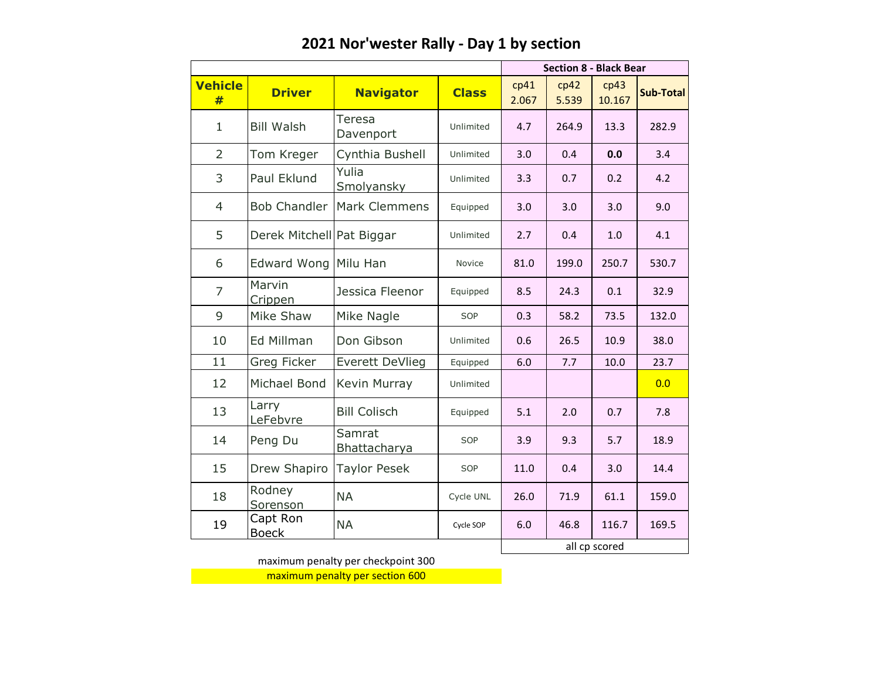|                     |                           | <b>Section 8 - Black Bear</b> |              |               |               |                |                  |
|---------------------|---------------------------|-------------------------------|--------------|---------------|---------------|----------------|------------------|
| <b>Vehicle</b><br># | <b>Driver</b>             | <b>Navigator</b>              | <b>Class</b> | cp41<br>2.067 | cp42<br>5.539 | cp43<br>10.167 | <b>Sub-Total</b> |
| $\mathbf{1}$        | <b>Bill Walsh</b>         | Teresa<br>Davenport           | Unlimited    | 4.7           | 264.9         | 13.3           | 282.9            |
| $\overline{2}$      | Tom Kreger                | Cynthia Bushell               | Unlimited    | 3.0           | 0.4           | 0.0            | 3.4              |
| 3                   | Paul Eklund               | Yulia<br><b>Smolyansky</b>    | Unlimited    | 3.3           | 0.7           | 0.2            | 4.2              |
| $\overline{4}$      | <b>Bob Chandler</b>       | <b>Mark Clemmens</b>          | Equipped     | 3.0           | 3.0           | 3.0            | 9.0              |
| 5                   | Derek Mitchell Pat Biggar |                               | Unlimited    | 2.7           | 0.4           |                | 4.1              |
| 6                   | Edward Wong Milu Han      |                               | Novice       | 81.0          | 199.0         | 250.7          | 530.7            |
| $\overline{7}$      | Marvin<br>Crippen         | Jessica Fleenor               | Equipped     | 8.5           | 24.3          | 0.1            | 32.9             |
| 9                   | Mike Shaw                 | Mike Nagle                    | SOP          | 0.3           | 58.2          | 73.5           | 132.0            |
| 10                  | Ed Millman                | Don Gibson                    | Unlimited    | 0.6           | 26.5          | 10.9           | 38.0             |
| 11                  | Greg Ficker               | <b>Everett DeVlieg</b>        | Equipped     | 6.0           | 7.7           | 10.0           | 23.7             |
| 12                  | Michael Bond              | Kevin Murray                  | Unlimited    |               |               |                | 0.0              |
| 13                  | Larry<br>LeFebvre         | <b>Bill Colisch</b>           | Equipped     | 5.1           | 2.0           | 0.7            | 7.8              |
| 14                  | Peng Du                   | Samrat<br>Bhattacharya        | SOP          | 3.9           | 9.3           | 5.7            | 18.9             |
| 15                  | Drew Shapiro              | <b>Taylor Pesek</b>           | SOP          | 11.0          | 0.4           | 3.0            | 14.4             |
| 18                  | Rodney<br>Sorenson        | <b>NA</b>                     | Cycle UNL    | 26.0          | 71.9          | 61.1           | 159.0            |
| 19                  | Capt Ron<br><b>Boeck</b>  | <b>NA</b>                     | Cycle SOP    | 6.0           | 46.8          | 116.7          | 169.5            |
|                     |                           |                               |              |               |               | all cp scored  |                  |

maximum penalty per checkpoint 300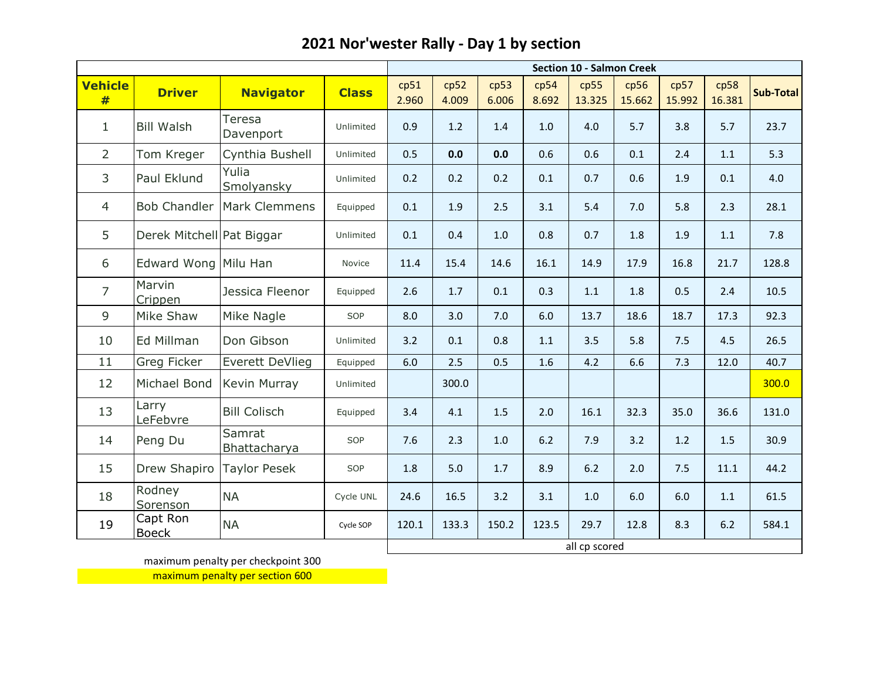|                     |                           | <b>Section 10 - Salmon Creek</b> |              |               |               |               |               |                |                |                |                |           |
|---------------------|---------------------------|----------------------------------|--------------|---------------|---------------|---------------|---------------|----------------|----------------|----------------|----------------|-----------|
| <b>Vehicle</b><br># | <b>Driver</b>             | <b>Navigator</b>                 | <b>Class</b> | cp51<br>2.960 | cp52<br>4.009 | cp53<br>6.006 | cp54<br>8.692 | cp55<br>13.325 | cp56<br>15.662 | cp57<br>15.992 | cp58<br>16.381 | Sub-Total |
| $\mathbf 1$         | <b>Bill Walsh</b>         | Teresa<br>Davenport              | Unlimited    | 0.9           | 1.2           | 1.4           | $1.0$         | 4.0            | 5.7            | 3.8            | 5.7            | 23.7      |
| $\overline{2}$      | Tom Kreger                | Cynthia Bushell                  | Unlimited    | 0.5           | 0.0           | 0.0           | 0.6           | 0.6            | 0.1            | 2.4            | 1.1            | 5.3       |
| 3                   | Paul Eklund               | Yulia<br>Smolyansky              | Unlimited    | 0.2           | 0.2           | 0.2           | 0.1           | 0.7            | 0.6            | 1.9            | 0.1            | 4.0       |
| $\overline{4}$      | <b>Bob Chandler</b>       | Mark Clemmens                    | Equipped     | 0.1           | 1.9           | 2.5           | 3.1           | 5.4            | 7.0            | 5.8            | 2.3            | 28.1      |
| 5                   | Derek Mitchell Pat Biggar |                                  | Unlimited    | 0.1           | 0.4           | 1.0           | 0.8           | 0.7            | 1.8            | 1.9            | 1.1            | 7.8       |
| 6                   | Edward Wong Milu Han      |                                  | Novice       | 11.4          | 15.4          | 14.6          | 16.1          | 14.9           | 17.9           | 16.8           | 21.7           | 128.8     |
| $\overline{7}$      | Marvin<br>Crippen         | Jessica Fleenor                  | Equipped     | 2.6           | 1.7           | 0.1           | 0.3           | 1.1            | 1.8            | 0.5            | 2.4            | 10.5      |
| 9                   | Mike Shaw                 | Mike Nagle                       | SOP          | 8.0           | 3.0           | 7.0           | 6.0           | 13.7           | 18.6           | 18.7           | 17.3           | 92.3      |
| 10                  | Ed Millman                | Don Gibson                       | Unlimited    | 3.2           | 0.1           | 0.8           | 1.1           | 3.5            | 5.8            | 7.5            | 4.5            | 26.5      |
| 11                  | Greg Ficker               | Everett DeVlieg                  | Equipped     | 6.0           | 2.5           | 0.5           | 1.6           | 4.2            | 6.6            | 7.3            | 12.0           | 40.7      |
| 12                  | Michael Bond              | Kevin Murray                     | Unlimited    |               | 300.0         |               |               |                |                |                |                | 300.0     |
| 13                  | Larry<br>LeFebvre         | <b>Bill Colisch</b>              | Equipped     | 3.4           | 4.1           | 1.5           | 2.0           | 16.1           | 32.3           | 35.0           | 36.6           | 131.0     |
| 14                  | Peng Du                   | Samrat<br>Bhattacharya           | SOP          | 7.6           | 2.3           | 1.0           | 6.2           | 7.9            | 3.2            | 1.2            | 1.5            | 30.9      |
| 15                  | Drew Shapiro              | <b>Taylor Pesek</b>              | SOP          | 1.8           | 5.0           | 1.7           | 8.9           | 6.2            | 2.0            | 7.5            | 11.1           | 44.2      |
| 18                  | Rodney<br>Sorenson        | <b>NA</b>                        | Cycle UNL    | 24.6          | 16.5          | 3.2           | 3.1           | 1.0            | 6.0            | 6.0            | 1.1            | 61.5      |
| 19                  | Capt Ron<br><b>Boeck</b>  | <b>NA</b>                        | Cycle SOP    | 120.1         | 133.3         | 150.2         | 123.5         | 29.7           | 12.8           | 8.3            | 6.2            | 584.1     |
|                     |                           |                                  |              | all cp scored |               |               |               |                |                |                |                |           |

maximum penalty per checkpoint 300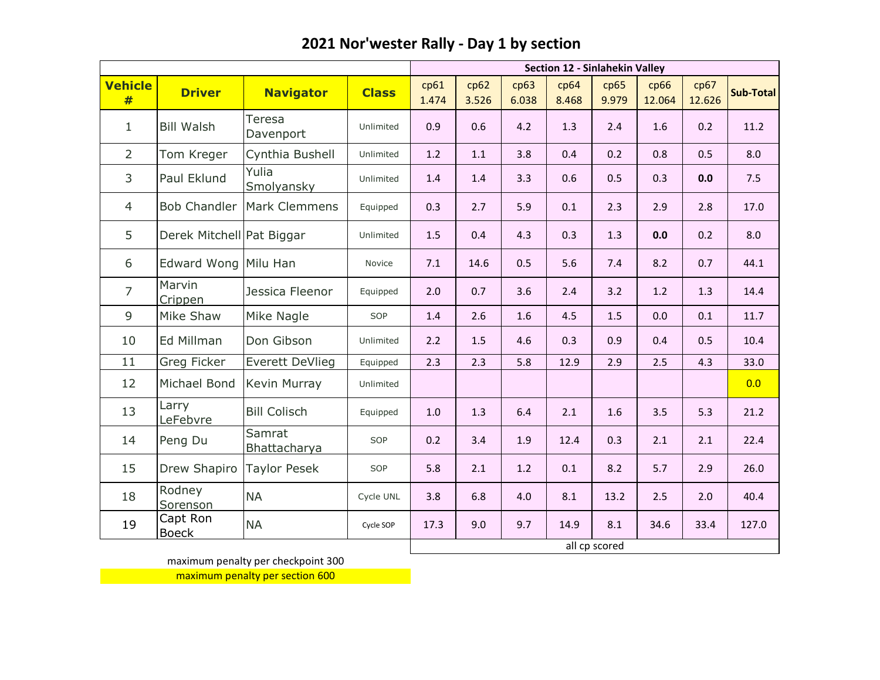|                     |                           |                        |              |               | Section 12 - Sinlahekin Valley |               |               |               |                |                |                  |  |  |
|---------------------|---------------------------|------------------------|--------------|---------------|--------------------------------|---------------|---------------|---------------|----------------|----------------|------------------|--|--|
| <b>Vehicle</b><br># | <b>Driver</b>             | <b>Navigator</b>       | <b>Class</b> | cp61<br>1.474 | cp62<br>3.526                  | cp63<br>6.038 | cp64<br>8.468 | cp65<br>9.979 | cp66<br>12.064 | cp67<br>12.626 | <b>Sub-Total</b> |  |  |
| 1                   | <b>Bill Walsh</b>         | Teresa<br>Davenport    | Unlimited    | 0.9           | 0.6                            | 4.2           | 1.3           | 2.4           | 1.6            | 0.2            | 11.2             |  |  |
| $\overline{2}$      | Tom Kreger                | Cynthia Bushell        | Unlimited    | 1.2           | 1.1                            | 3.8           | 0.4           | 0.2           | 0.8            | 0.5            | 8.0              |  |  |
| 3                   | Paul Eklund               | Yulia<br>Smolyansky    | Unlimited    | 1.4           | 1.4                            | 3.3           | 0.6           | 0.5           | 0.3            | 0.0            | 7.5              |  |  |
| $\overline{4}$      | <b>Bob Chandler</b>       | Mark Clemmens          | Equipped     | 0.3           | 2.7                            | 5.9           | 0.1           | 2.3           | 2.9            | 2.8            | 17.0             |  |  |
| 5                   | Derek Mitchell Pat Biggar |                        | Unlimited    | 1.5           | 0.4                            | 4.3           | 0.3           | 1.3           | 0.0            | 0.2            | 8.0              |  |  |
| 6                   | Edward Wong Milu Han      |                        | Novice       | 7.1           | 14.6                           | 0.5           | 5.6           | 7.4           | 8.2            | 0.7            | 44.1             |  |  |
| $\overline{7}$      | Marvin<br>Crippen         | Jessica Fleenor        | Equipped     | 2.0           | 0.7                            | 3.6           | 2.4           | 3.2           | $1.2$          | 1.3            | 14.4             |  |  |
| 9                   | Mike Shaw                 | Mike Nagle             | SOP          | 1.4           | 2.6                            | 1.6           | 4.5           | 1.5           | 0.0            | 0.1            | 11.7             |  |  |
| 10                  | Ed Millman                | Don Gibson             | Unlimited    | 2.2           | 1.5                            | 4.6           | 0.3           | 0.9           | 0.4            | 0.5            | 10.4             |  |  |
| 11                  | Greg Ficker               | <b>Everett DeVlieg</b> | Equipped     | 2.3           | 2.3                            | 5.8           | 12.9          | 2.9           | 2.5            | 4.3            | 33.0             |  |  |
| 12                  | Michael Bond              | Kevin Murray           | Unlimited    |               |                                |               |               |               |                |                | 0.0              |  |  |
| 13                  | Larry<br>LeFebvre         | <b>Bill Colisch</b>    | Equipped     | 1.0           | 1.3                            | 6.4           | 2.1           | 1.6           | 3.5            | 5.3            | 21.2             |  |  |
| 14                  | Peng Du                   | Samrat<br>Bhattacharya | SOP          | 0.2           | 3.4                            | 1.9           | 12.4          | 0.3           | 2.1            | 2.1            | 22.4             |  |  |
| 15                  | Drew Shapiro              | <b>Taylor Pesek</b>    | SOP          | 5.8           | 2.1                            | 1.2           | 0.1           | 8.2           | 5.7            | 2.9            | 26.0             |  |  |
| 18                  | Rodney<br>Sorenson        | <b>NA</b>              | Cycle UNL    | 3.8           | 6.8                            | 4.0           | 8.1           | 13.2          | 2.5            | 2.0            | 40.4             |  |  |
| 19                  | Capt Ron<br><b>Boeck</b>  | <b>NA</b>              | Cycle SOP    | 17.3          | 9.0                            | 9.7           | 14.9          | 8.1           | 34.6           | 33.4           | 127.0            |  |  |
|                     |                           |                        |              |               |                                |               |               | all cp scored |                |                |                  |  |  |

maximum penalty per checkpoint 300